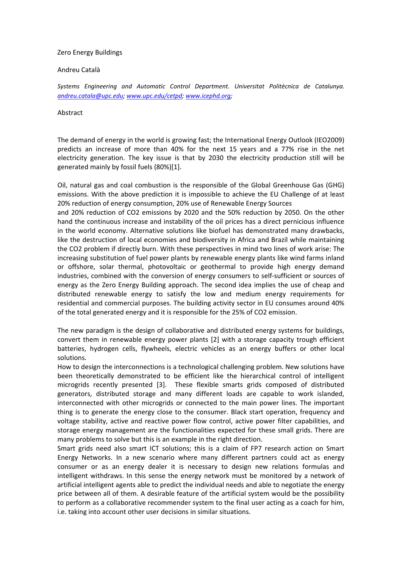## Zero Energy Buildings

## Andreu Català

*Systems Engineering and Automatic Control Department. Universitat Politècnica de Catalunya. andreu.catala@upc.edu; www.upc.edu/cetpd; www.icephd.org;*

## Abstract

The demand of energy in the world is growing fast; the International Energy Outlook (IEO2009) predicts an increase of more than 40% for the next 15 years and a 77% rise in the net electricity generation. The key issue is that by 2030 the electricity production still will be generated mainly by fossil fuels (80%)[1].

Oil, natural gas and coal combustion is the responsible of the Global Greenhouse Gas (GHG) emissions. With the above prediction it is impossible to achieve the EU Challenge of at least 20% reduction of energy consumption, 20% use of Renewable Energy Sources

and 20% reduction of CO2 emissions by 2020 and the 50% reduction by 2050. On the other hand the continuous increase and instability of the oil prices has a direct pernicious influence in the world economy. Alternative solutions like biofuel has demonstrated many drawbacks, like the destruction of local economies and biodiversity in Africa and Brazil while maintaining the CO2 problem if directly burn. With these perspectives in mind two lines of work arise: The increasing substitution of fuel power plants by renewable energy plants like wind farms inland or offshore, solar thermal, photovoltaic or geothermal to provide high energy demand industries, combined with the conversion of energy consumers to self‐sufficient or sources of energy as the Zero Energy Building approach. The second idea implies the use of cheap and distributed renewable energy to satisfy the low and medium energy requirements for residential and commercial purposes. The building activity sector in EU consumes around 40% of the total generated energy and it is responsible for the 25% of CO2 emission.

The new paradigm is the design of collaborative and distributed energy systems for buildings, convert them in renewable energy power plants [2] with a storage capacity trough efficient batteries, hydrogen cells, flywheels, electric vehicles as an energy buffers or other local solutions.

How to design the interconnections is a technological challenging problem. New solutions have been theoretically demonstrated to be efficient like the hierarchical control of intelligent microgrids recently presented [3]. These flexible smarts grids composed of distributed generators, distributed storage and many different loads are capable to work islanded, interconnected with other microgrids or connected to the main power lines. The important thing is to generate the energy close to the consumer. Black start operation, frequency and voltage stability, active and reactive power flow control, active power filter capabilities, and storage energy management are the functionalities expected for these small grids. There are many problems to solve but this is an example in the right direction.

Smart grids need also smart ICT solutions; this is a claim of FP7 research action on Smart Energy Networks. In a new scenario where many different partners could act as energy consumer or as an energy dealer it is necessary to design new relations formulas and intelligent withdraws. In this sense the energy network must be monitored by a network of artificial intelligent agents able to predict the individual needs and able to negotiate the energy price between all of them. A desirable feature of the artificial system would be the possibility to perform as a collaborative recommender system to the final user acting as a coach for him, i.e. taking into account other user decisions in similar situations.